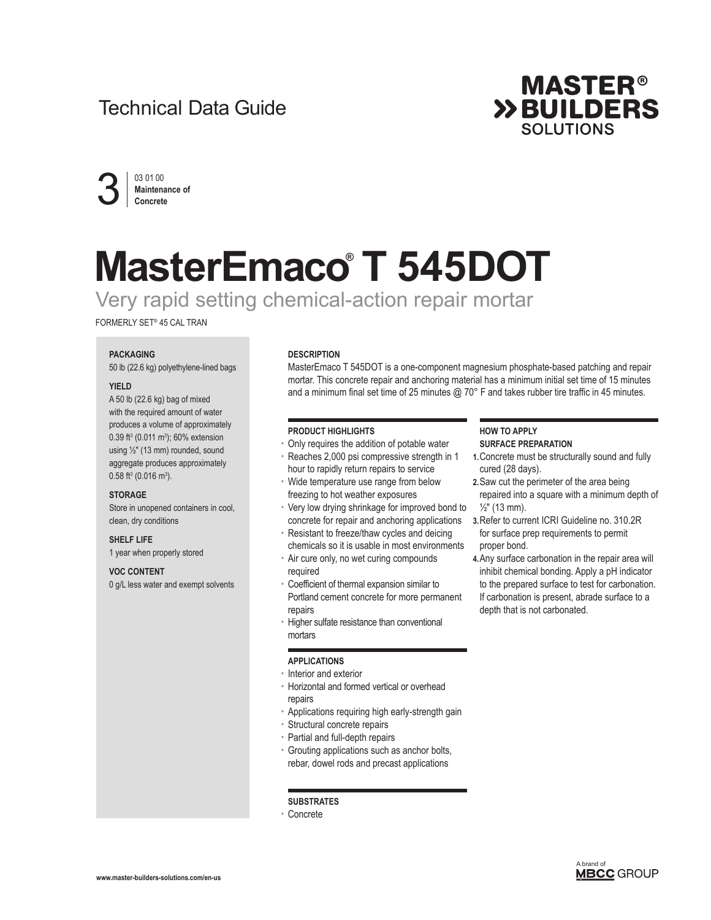# Technical Data Guide





# **MasterEmaco® T 545DOT**

Very rapid setting chemical-action repair mortar

FORMERLY SET® 45 CAL TRAN

#### **PACKAGING**

50 lb (22.6 kg) polyethylene-lined bags

#### **YIELD**

A 50 lb (22.6 kg) bag of mixed with the required amount of water produces a volume of approximately 0.39 ft<sup>3</sup> (0.011 m<sup>3</sup>); 60% extension using ½" (13 mm) rounded, sound aggregate produces approximately  $0.58$  ft<sup>3</sup> (0.016 m<sup>3</sup>).

#### **STORAGE**

Store in unopened containers in cool, clean, dry conditions

#### **SHELF LIFE**

1 year when properly stored

# **VOC CONTENT**

0 g/L less water and exempt solvents

#### **DESCRIPTION**

MasterEmaco T 545DOT is a one-component magnesium phosphate-based patching and repair mortar. This concrete repair and anchoring material has a minimum initial set time of 15 minutes and a minimum final set time of 25 minutes @ 70° F and takes rubber tire traffic in 45 minutes.

# **PRODUCT HIGHLIGHTS**

- Only requires the addition of potable water
- Reaches 2,000 psi compressive strength in 1 hour to rapidly return repairs to service
- Wide temperature use range from below freezing to hot weather exposures
- Very low drying shrinkage for improved bond to concrete for repair and anchoring applications
- Resistant to freeze/thaw cycles and deicing chemicals so it is usable in most environments
- Air cure only, no wet curing compounds required
- Coefficient of thermal expansion similar to Portland cement concrete for more permanent repairs
- Higher sulfate resistance than conventional mortars

# **APPLICATIONS**

- Interior and exterior
- Horizontal and formed vertical or overhead repairs
- Applications requiring high early-strength gain
- Structural concrete repairs
- Partial and full-depth repairs
- Grouting applications such as anchor bolts, rebar, dowel rods and precast applications

#### **SUBSTRATES**

• Concrete

#### **HOW TO APPLY SURFACE PREPARATION**

- **1.**Concrete must be structurally sound and fully cured (28 days).
- **2.**Saw cut the perimeter of the area being repaired into a square with a minimum depth of  $\frac{1}{2}$ " (13 mm).
- **3.**Refer to current ICRI Guideline no. 310.2R for surface prep requirements to permit proper bond.
- **4.**Any surface carbonation in the repair area will inhibit chemical bonding. Apply a pH indicator to the prepared surface to test for carbonation. If carbonation is present, abrade surface to a depth that is not carbonated.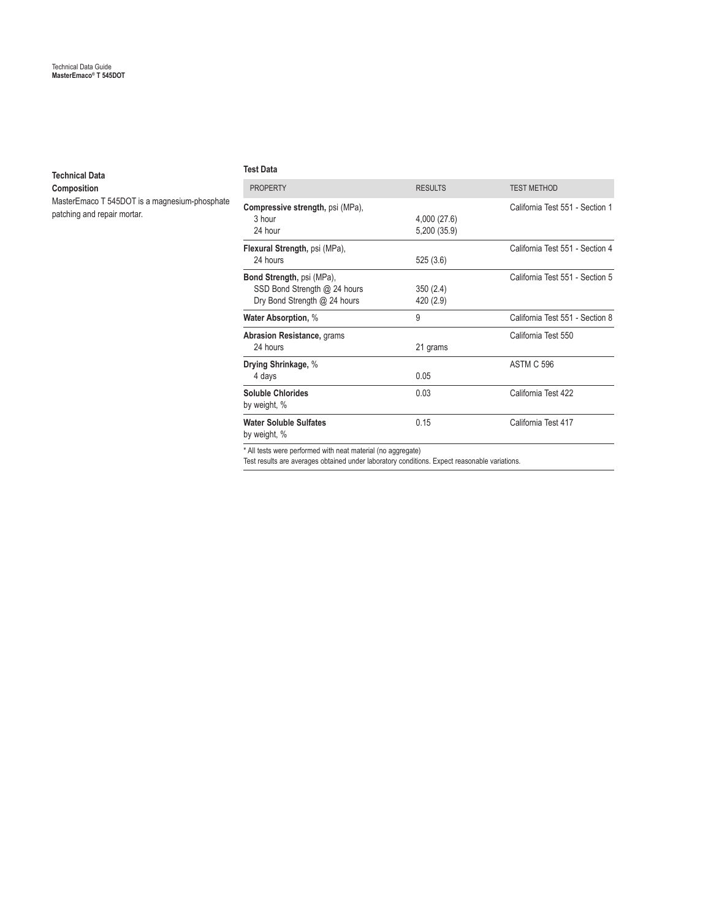# **Technical Data**

**Composition**

MasterEmaco T 545DOT is a magnesium-phosphate patching and repair mortar.

#### **Test Data**

| <b>PROPERTY</b>                                                                           | <b>RESULTS</b>               | <b>TEST METHOD</b>              |
|-------------------------------------------------------------------------------------------|------------------------------|---------------------------------|
| <b>Compressive strength, psi (MPa),</b><br>3 hour<br>24 hour                              | 4,000 (27.6)<br>5,200 (35.9) | California Test 551 - Section 1 |
| Flexural Strength, psi (MPa),<br>24 hours                                                 | 525(3.6)                     | California Test 551 - Section 4 |
| Bond Strength, psi (MPa),<br>SSD Bond Strength @ 24 hours<br>Dry Bond Strength @ 24 hours | 350(2.4)<br>420 (2.9)        | California Test 551 - Section 5 |
| <b>Water Absorption, %</b>                                                                | 9                            | California Test 551 - Section 8 |
| <b>Abrasion Resistance, grams</b><br>24 hours                                             | 21 grams                     | California Test 550             |
| Drying Shrinkage, %<br>4 days                                                             | 0.05                         | <b>ASTM C 596</b>               |
| <b>Soluble Chlorides</b><br>by weight, %                                                  | 0.03                         | California Test 422             |
| <b>Water Soluble Sulfates</b><br>by weight, %                                             | 0.15                         | California Test 417             |
| $\star$ All toots wave november of with neat motorial (no convenies).                     |                              |                                 |

\* All tests were performed with neat material (no aggregate) Test results are averages obtained under laboratory conditions. Expect reasonable variations.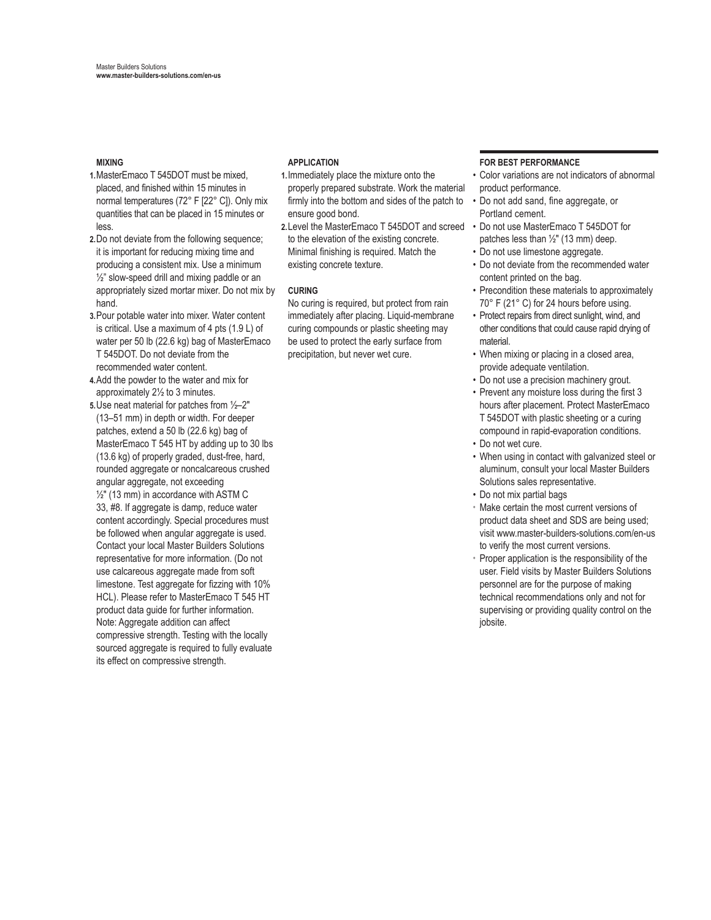# **MIXING**

- **1.**MasterEmaco T 545DOT must be mixed, placed, and finished within 15 minutes in normal temperatures (72° F [22° C]). Only mix quantities that can be placed in 15 minutes or less.
- **2.**Do not deviate from the following sequence; it is important for reducing mixing time and producing a consistent mix. Use a minimum  $\frac{1}{2}$ " slow-speed drill and mixing paddle or an appropriately sized mortar mixer. Do not mix by hand.
- **3.**Pour potable water into mixer. Water content is critical. Use a maximum of 4 pts (1.9 L) of water per 50 lb (22.6 kg) bag of MasterEmaco T 545DOT. Do not deviate from the recommended water content.
- **4.**Add the powder to the water and mix for approximately 2½ to 3 minutes.
- **5.**Use neat material for patches from ½–2" (13–51 mm) in depth or width. For deeper patches, extend a 50 lb (22.6 kg) bag of MasterEmaco T 545 HT by adding up to 30 lbs (13.6 kg) of properly graded, dust-free, hard, rounded aggregate or noncalcareous crushed angular aggregate, not exceeding ½" (13 mm) in accordance with ASTM C 33, #8. If aggregate is damp, reduce water content accordingly. Special procedures must be followed when angular aggregate is used. Contact your local Master Builders Solutions representative for more information. (Do not use calcareous aggregate made from soft limestone. Test aggregate for fizzing with 10% HCL). Please refer to MasterEmaco T 545 HT product data guide for further information. Note: Aggregate addition can affect compressive strength. Testing with the locally sourced aggregate is required to fully evaluate its effect on compressive strength.

# **APPLICATION**

- **1.**Immediately place the mixture onto the properly prepared substrate. Work the material firmly into the bottom and sides of the patch to ensure good bond.
- **2.**Level the MasterEmaco T 545DOT and screed Do not use MasterEmaco T 545DOT for to the elevation of the existing concrete. Minimal finishing is required. Match the existing concrete texture.

# **CURING**

No curing is required, but protect from rain immediately after placing. Liquid-membrane curing compounds or plastic sheeting may be used to protect the early surface from precipitation, but never wet cure.

# **FOR BEST PERFORMANCE**

- Color variations are not indicators of abnormal product performance.
- Do not add sand, fine aggregate, or Portland cement.
- patches less than  $\frac{1}{2}$ " (13 mm) deep.
- Do not use limestone aggregate.
- Do not deviate from the recommended water content printed on the bag.
- Precondition these materials to approximately 70° F (21° C) for 24 hours before using.
- Protect repairs from direct sunlight, wind, and other conditions that could cause rapid drying of material.
- When mixing or placing in a closed area, provide adequate ventilation.
- Do not use a precision machinery grout.
- Prevent any moisture loss during the first 3 hours after placement. Protect MasterEmaco T 545DOT with plastic sheeting or a curing compound in rapid-evaporation conditions. • Do not wet cure.
- When using in contact with galvanized steel or aluminum, consult your local Master Builders Solutions sales representative.
- Do not mix partial bags
- Make certain the most current versions of product data sheet and SDS are being used; visit www.master-builders-solutions.com/en-us to verify the most current versions.
- Proper application is the responsibility of the user. Field visits by Master Builders Solutions personnel are for the purpose of making technical recommendations only and not for supervising or providing quality control on the jobsite.